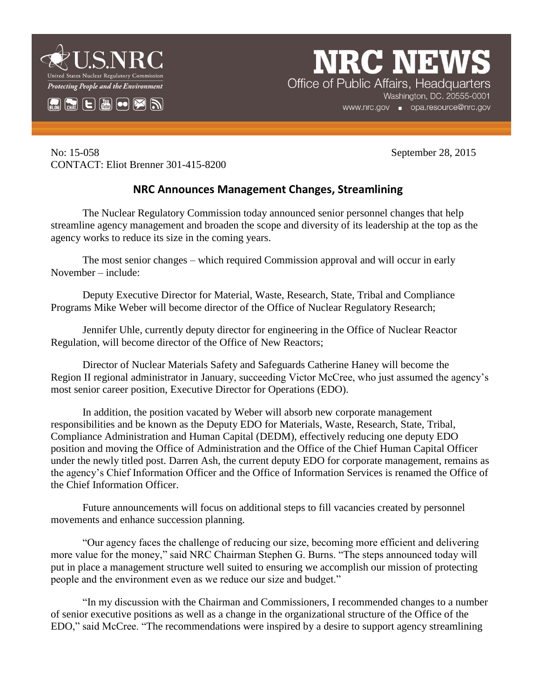



**NRC NEW** Office of Public Affairs, Headquarters Washington, DC. 20555-0001 www.nrc.gov **pa.resource@nrc.gov** 

No: 15-058 September 28, 2015 CONTACT: Eliot Brenner 301-415-8200

## **NRC Announces Management Changes, Streamlining**

The Nuclear Regulatory Commission today announced senior personnel changes that help streamline agency management and broaden the scope and diversity of its leadership at the top as the agency works to reduce its size in the coming years.

The most senior changes – which required Commission approval and will occur in early November – include:

Deputy Executive Director for Material, Waste, Research, State, Tribal and Compliance Programs Mike Weber will become director of the Office of Nuclear Regulatory Research;

Jennifer Uhle, currently deputy director for engineering in the Office of Nuclear Reactor Regulation, will become director of the Office of New Reactors;

Director of Nuclear Materials Safety and Safeguards Catherine Haney will become the Region II regional administrator in January, succeeding Victor McCree, who just assumed the agency's most senior career position, Executive Director for Operations (EDO).

In addition, the position vacated by Weber will absorb new corporate management responsibilities and be known as the Deputy EDO for Materials, Waste, Research, State, Tribal, Compliance Administration and Human Capital (DEDM), effectively reducing one deputy EDO position and moving the Office of Administration and the Office of the Chief Human Capital Officer under the newly titled post. Darren Ash, the current deputy EDO for corporate management, remains as the agency's Chief Information Officer and the Office of Information Services is renamed the Office of the Chief Information Officer.

Future announcements will focus on additional steps to fill vacancies created by personnel movements and enhance succession planning.

"Our agency faces the challenge of reducing our size, becoming more efficient and delivering more value for the money," said NRC Chairman Stephen G. Burns. "The steps announced today will put in place a management structure well suited to ensuring we accomplish our mission of protecting people and the environment even as we reduce our size and budget."

"In my discussion with the Chairman and Commissioners, I recommended changes to a number of senior executive positions as well as a change in the organizational structure of the Office of the EDO," said McCree. "The recommendations were inspired by a desire to support agency streamlining